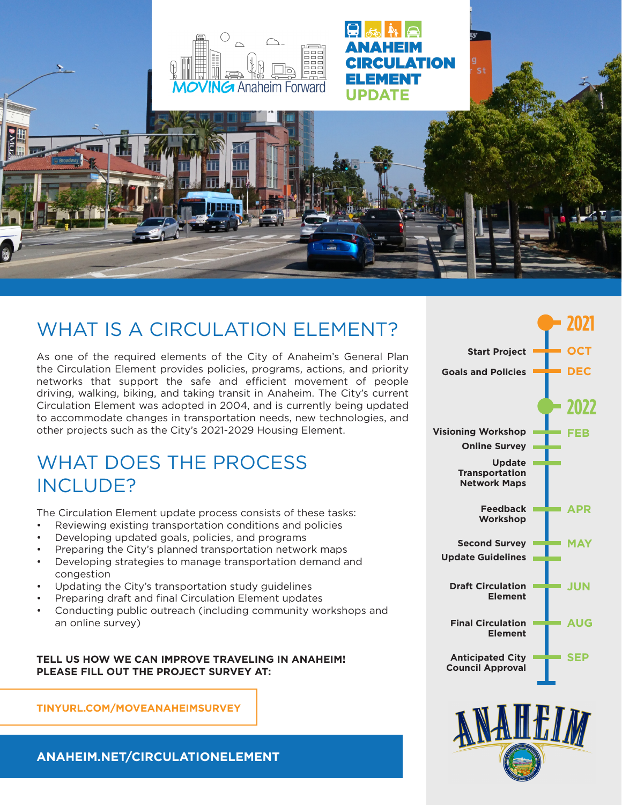

ANAHEIM

ELEMENT

**UPDATE** 

RCULATION

# WHAT IS A CIRCULATION ELEMENT?

As one of the required elements of the City of Anaheim's General Plan the Circulation Element provides policies, programs, actions, and priority networks that support the safe and efficient movement of people driving, walking, biking, and taking transit in Anaheim. The City's current Circulation Element was adopted in 2004, and is currently being updated to accommodate changes in transportation needs, new technologies, and other projects such as the City's 2021-2029 Housing Element.

### WHAT DOES THE PROCESS INCLUDE?

The Circulation Element update process consists of these tasks:

- Reviewing existing transportation conditions and policies
- Developing updated goals, policies, and programs
- Preparing the City's planned transportation network maps
- Developing strategies to manage transportation demand and congestion
- Updating the City's transportation study guidelines
- Preparing draft and final Circulation Element updates
- Conducting public outreach (including community workshops and an online survey)

#### **TELL US HOW WE CAN IMPROVE TRAVELING IN ANAHEIM! PLEASE FILL OUT THE PROJECT SURVEY AT:**

**TINYURL.COM/MOVEANAHEIMSURVEY**

**[ANAHEIM.NET/CIRCULATIONELEMENT](http://anaheim.net/6044/Circulation-Element-Update)**